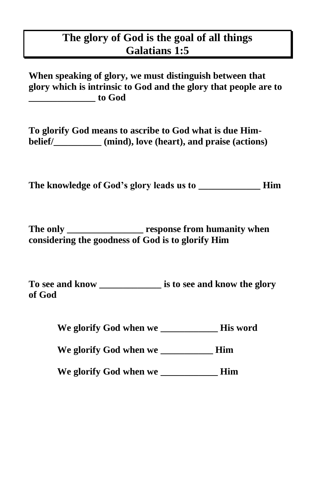## **The glory of God is the goal of all things Galatians 1:5**

**When speaking of glory, we must distinguish between that glory which is intrinsic to God and the glory that people are to \_\_\_\_\_\_\_\_\_\_\_\_\_\_ to God**

**To glorify God means to ascribe to God what is due Himbelief/\_\_\_\_\_\_\_\_\_\_ (mind), love (heart), and praise (actions)**

**The knowledge of God's glory leads us to \_\_\_\_\_\_\_\_\_\_\_\_\_ Him**

**The only \_\_\_\_\_\_\_\_\_\_\_\_\_\_\_\_ response from humanity when considering the goodness of God is to glorify Him**

**To see and know \_\_\_\_\_\_\_\_\_\_\_\_\_ is to see and know the glory of God** 

**We glorify God when we \_\_\_\_\_\_\_\_\_\_\_\_ His word**

**We glorify God when we \_\_\_\_\_\_\_\_\_\_\_ Him**

**We glorify God when we \_\_\_\_\_\_\_\_\_\_\_\_ Him**